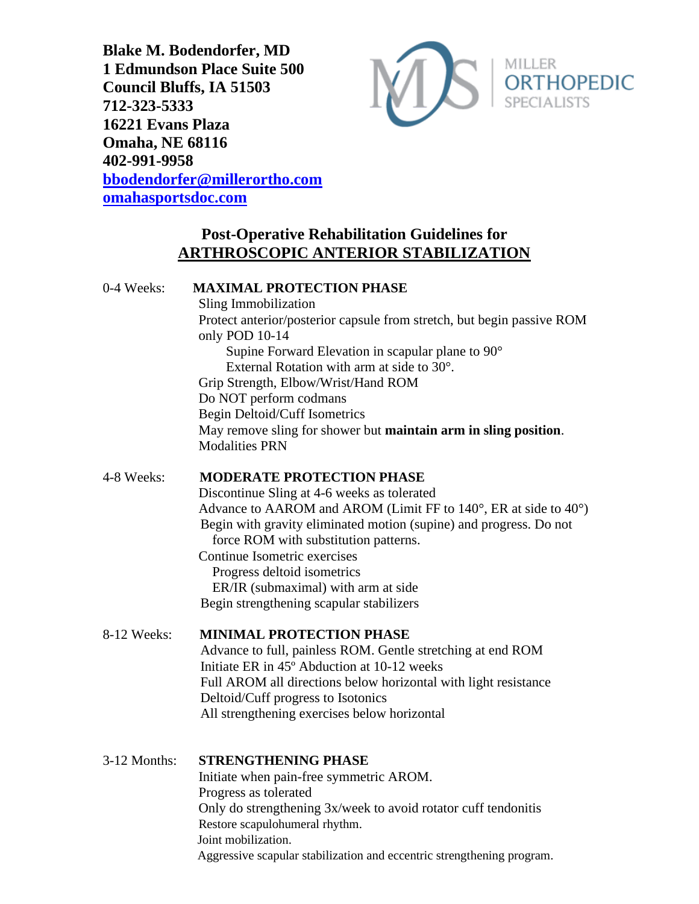**Blake M. Bodendorfer, MD 1 Edmundson Place Suite 500 Council Bluffs, IA 51503 712-323-5333 16221 Evans Plaza Omaha, NE 68116 402-991-9958 [bbodendorfer@millerortho.com](mailto:bbodendorfer@millerortho.com) [omahasportsdoc.com](http://www.omahasportsdoc.com/)**



# **Post-Operative Rehabilitation Guidelines for ARTHROSCOPIC ANTERIOR STABILIZATION**

# 0-4 Weeks: **MAXIMAL PROTECTION PHASE**

 Sling Immobilization Protect anterior/posterior capsule from stretch, but begin passive ROM only POD 10-14 Supine Forward Elevation in scapular plane to 90° External Rotation with arm at side to 30°. Grip Strength, Elbow/Wrist/Hand ROM Do NOT perform codmans Begin Deltoid/Cuff Isometrics May remove sling for shower but **maintain arm in sling position**. Modalities PRN

### 4-8 Weeks: **MODERATE PROTECTION PHASE**

 Discontinue Sling at 4-6 weeks as tolerated Advance to AAROM and AROM (Limit FF to 140°, ER at side to 40°) Begin with gravity eliminated motion (supine) and progress. Do not force ROM with substitution patterns. Continue Isometric exercises Progress deltoid isometrics

 ER/IR (submaximal) with arm at side Begin strengthening scapular stabilizers

# 8-12 Weeks: **MINIMAL PROTECTION PHASE**

Advance to full, painless ROM. Gentle stretching at end ROM Initiate ER in 45º Abduction at 10-12 weeks Full AROM all directions below horizontal with light resistance Deltoid/Cuff progress to Isotonics All strengthening exercises below horizontal

### 3-12 Months: **STRENGTHENING PHASE**

Initiate when pain-free symmetric AROM. Progress as tolerated Only do strengthening 3x/week to avoid rotator cuff tendonitis Restore scapulohumeral rhythm. Joint mobilization. Aggressive scapular stabilization and eccentric strengthening program.